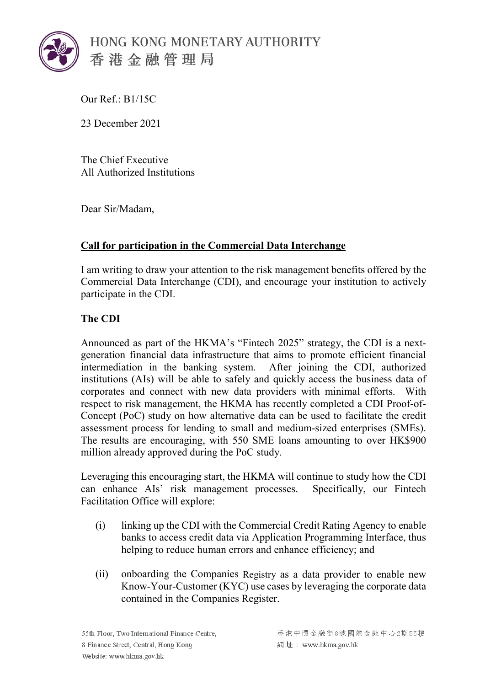

Our Ref.: B1/15C

23 December 2021

The Chief Executive All Authorized Institutions

Dear Sir/Madam,

## **Call for participation in the Commercial Data Interchange**

I am writing to draw your attention to the risk management benefits offered by the Commercial Data Interchange (CDI), and encourage your institution to actively participate in the CDI.

## **The CDI**

Announced as part of the HKMA's "Fintech 2025" strategy, the CDI is a nextgeneration financial data infrastructure that aims to promote efficient financial intermediation in the banking system. After joining the CDI, authorized institutions (AIs) will be able to safely and quickly access the business data of corporates and connect with new data providers with minimal efforts. With respect to risk management, the HKMA has recently completed a CDI Proof-of-Concept (PoC) study on how alternative data can be used to facilitate the credit assessment process for lending to small and medium-sized enterprises (SMEs). The results are encouraging, with 550 SME loans amounting to over HK\$900 million already approved during the PoC study.

Leveraging this encouraging start, the HKMA will continue to study how the CDI can enhance AIs' risk management processes. Specifically, our Fintech Facilitation Office will explore:

- (i) linking up the CDI with the Commercial Credit Rating Agency to enable banks to access credit data via Application Programming Interface, thus helping to reduce human errors and enhance efficiency; and
- (ii) onboarding the Companies Registry as a data provider to enable new Know-Your-Customer (KYC) use cases by leveraging the corporate data contained in the Companies Register.